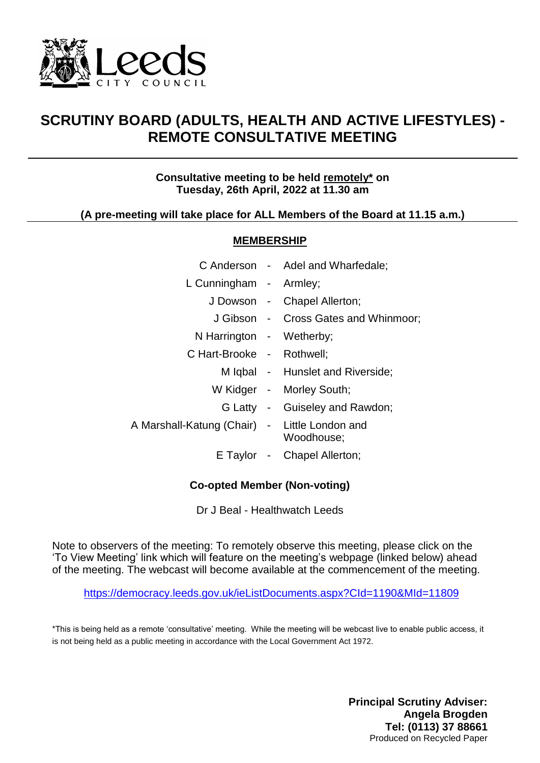

# **SCRUTINY BOARD (ADULTS, HEALTH AND ACTIVE LIFESTYLES) - REMOTE CONSULTATIVE MEETING**

## **Consultative meeting to be held remotely\* on Tuesday, 26th April, 2022 at 11.30 am**

## **(A pre-meeting will take place for ALL Members of the Board at 11.15 a.m.)**

#### **MEMBERSHIP**

|                                               | C Anderson - Adel and Wharfedale;    |
|-----------------------------------------------|--------------------------------------|
| L Cunningham - Armley;                        |                                      |
|                                               | J Dowson - Chapel Allerton;          |
|                                               | J Gibson - Cross Gates and Whinmoor; |
| N Harrington - Wetherby;                      |                                      |
| C Hart-Brooke - Rothwell;                     |                                      |
|                                               | M Iqbal - Hunslet and Riverside;     |
|                                               | W Kidger - Morley South;             |
|                                               | G Latty - Guiseley and Rawdon;       |
| A Marshall-Katung (Chair) - Little London and | Woodhouse;                           |
|                                               | E Taylor - Chapel Allerton;          |
|                                               |                                      |

## **Co-opted Member (Non-voting)**

Dr J Beal - Healthwatch Leeds

Note to observers of the meeting: To remotely observe this meeting, please click on the 'To View Meeting' link which will feature on the meeting's webpage (linked below) ahead of the meeting. The webcast will become available at the commencement of the meeting.

<https://democracy.leeds.gov.uk/ieListDocuments.aspx?CId=1190&MId=11809>

\*This is being held as a remote 'consultative' meeting. While the meeting will be webcast live to enable public access, it is not being held as a public meeting in accordance with the Local Government Act 1972.

> **Principal Scrutiny Adviser: Angela Brogden Tel: (0113) 37 88661** Produced on Recycled Paper